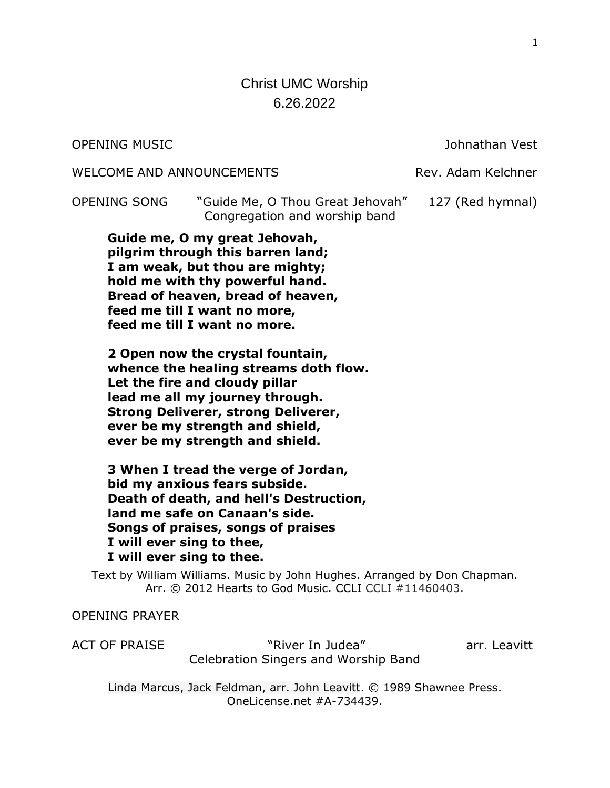# Christ UMC Worship 6.26.2022

OPENING MUSIC Johnathan Vest

WELCOME AND ANNOUNCEMENTS THE Rev. Adam Kelchner

OPENING SONG "Guide Me, O Thou Great Jehovah" 127 (Red hymnal) Congregation and worship band

**Guide me, O my great Jehovah, pilgrim through this barren land; I am weak, but thou are mighty; hold me with thy powerful hand. Bread of heaven, bread of heaven, feed me till I want no more, feed me till I want no more.**

**2 Open now the crystal fountain, whence the healing streams doth flow. Let the fire and cloudy pillar lead me all my journey through. Strong Deliverer, strong Deliverer, ever be my strength and shield, ever be my strength and shield.**

**3 When I tread the verge of Jordan, bid my anxious fears subside. Death of death, and hell's Destruction, land me safe on Canaan's side. Songs of praises, songs of praises I will ever sing to thee, I will ever sing to thee.**

Text by William Williams. Music by John Hughes. Arranged by Don Chapman. Arr. © 2012 Hearts to God Music. CCLI CCLI #11460403.

## OPENING PRAYER

ACT OF PRAISE The same "River In Judea" The Contract arr. Leavitt Celebration Singers and Worship Band

Linda Marcus, Jack Feldman, arr. John Leavitt. © 1989 Shawnee Press. OneLicense.net #A-734439.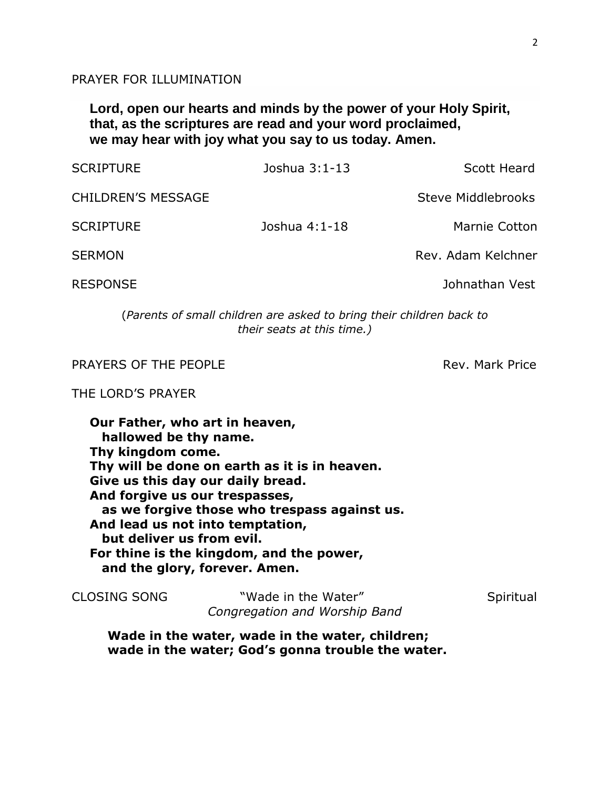PRAYER FOR ILLUMINATION

**Lord, open our hearts and minds by the power of your Holy Spirit, that, as the scriptures are read and your word proclaimed, we may hear with joy what you say to us today. Amen.**

| <b>SCRIPTURE</b>          | Joshua 3:1-13 | Scott Heard        |
|---------------------------|---------------|--------------------|
| <b>CHILDREN'S MESSAGE</b> |               | Steve Middlebrooks |
| <b>SCRIPTURE</b>          | Joshua 4:1-18 | Marnie Cotton      |
| <b>SERMON</b>             |               | Rev. Adam Kelchner |
| <b>RESPONSE</b>           |               | Johnathan Vest     |
|                           |               |                    |

(*Parents of small children are asked to bring their children back to their seats at this time.)*

PRAYERS OF THE PEOPLE **Rev. Mark Price** Rev. Mark Price

THE LORD'S PRAYER

**Our Father, who art in heaven, hallowed be thy name. Thy kingdom come. Thy will be done on earth as it is in heaven. Give us this day our daily bread. And forgive us our trespasses, as we forgive those who trespass against us. And lead us not into temptation, but deliver us from evil. For thine is the kingdom, and the power, and the glory, forever. Amen.**

| CLOSING SONG | "Wade in the Water"           | Spiritual |
|--------------|-------------------------------|-----------|
|              | Congregation and Worship Band |           |

**Wade in the water, wade in the water, children; wade in the water; God's gonna trouble the water.**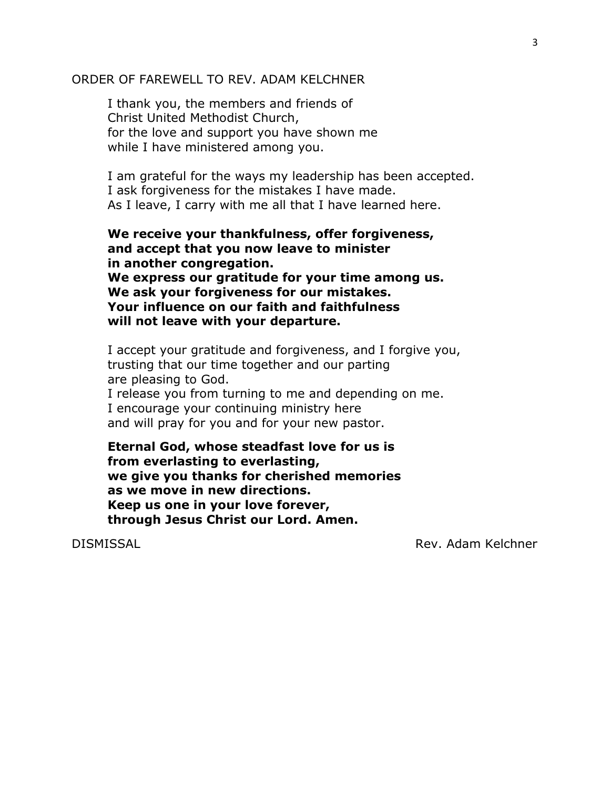## ORDER OF FAREWELL TO REV. ADAM KELCHNER

I thank you, the members and friends of Christ United Methodist Church, for the love and support you have shown me while I have ministered among you.

I am grateful for the ways my leadership has been accepted. I ask forgiveness for the mistakes I have made. As I leave, I carry with me all that I have learned here.

**We receive your thankfulness, offer forgiveness, and accept that you now leave to minister in another congregation. We express our gratitude for your time among us. We ask your forgiveness for our mistakes. Your influence on our faith and faithfulness will not leave with your departure.**

I accept your gratitude and forgiveness, and I forgive you, trusting that our time together and our parting are pleasing to God. I release you from turning to me and depending on me. I encourage your continuing ministry here and will pray for you and for your new pastor.

**Eternal God, whose steadfast love for us is from everlasting to everlasting, we give you thanks for cherished memories as we move in new directions. Keep us one in your love forever, through Jesus Christ our Lord. Amen.**

DISMISSAL Rev. Adam Kelchner